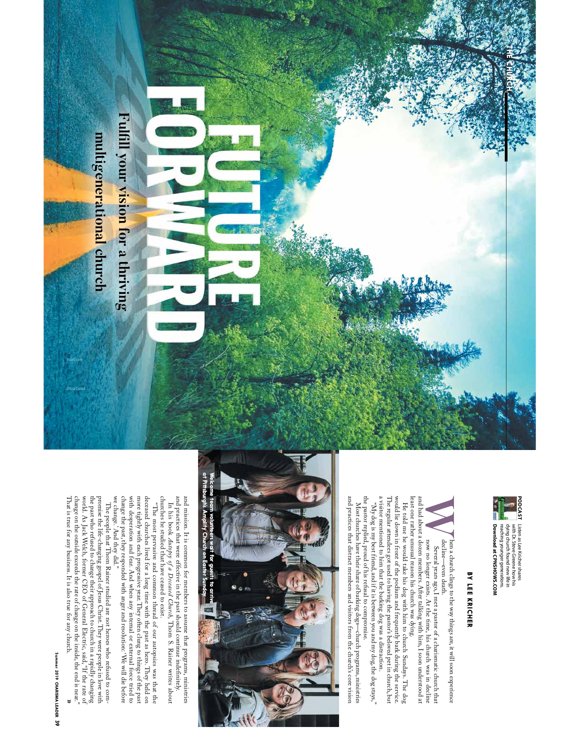

**PODCAST** Listen as Lee Kricher shares<br>**PODCAST** Listen as Lee Kricher shares<br>**A** Wing church found new life in Listen as Lee Kricher shares **PODCAST** Download at CPNSHOWS.COM reaching younger generations. **Download at CPNSHOWS.COM**reaching younger generations. dying church found new life in with Dr. Steve Greene how his

**THE CHURCH**

# **BY LEE KRICHER BY LEE KRICHER**

**W**decline a church clings to the way things are, it will soon experience Several years ago, I met a pastor of a charismatic church that now no longer exists. At the time, his church was in decline now no longer exists. At th

least one rather unusual reason his church and had about a dozen members. After talking with him, I soon understood at and had about a dozen members. After talking with him, I soon understood at Several years ago, I met a pastor of a charismatic church that

a visitor mentioned to him that the barking dog was a distraction. a visitor mentioned to him that the barking dog was a di The regular attendees got used to having the pastor's beloved pet in church, but The regular attendees got used to having the pastor's beloved pet in church, but would lie down in front of the podium and frequently bark during the service. would lie down in front of the podium and frequently bark during the service. least one rather unusual reason his church was dying.<br>He told me he would take his dog with him to church Sundays. The dog<br>He told me he would take his dog with him to church Sundays. The dog He told me he would take his dog with him to church Sundays. The dog straction.

the pastor replied, proud of his refusal to compromise. the pastor replied, proud of his refusal to compromise. "Ny dog is my best friend, and if it is between you and my dog, the dog stays," "My dog is my best friend, and if it is between you and my dog, the dog stays,"

and practices that distract members and visitors from the church's core vision and practices that distract members and visitors from the church's core vision Most churches have their share of barking dogs--church programs, ministries Most churches have their share of barking dogs—church programs, ministries



and practices that were effective in the past should continue ind and mission. It is common for members to assume that programs, ministries and mission. It is common for members to assume that programs, ministries and practices that were effective in the past should continue indefinitely.

In his book *Autopsy of a Deceased Church*, Thom S. Rainer writes about , Thom S. Rainer writes about

more tightly with each progressive year. They often clung to things of the past deceased churches lived for a long time with the past as hero. They held on more tightly with each progressive year. They often clung to things of the past deceased churches lived for a long time with the past as hero. They held on "The most pervasive and common thread of our autopsies was that the "The most pervasive and common thread of our autopsies was that the

promise the life-changing gospel of Jesus Christ. They were people in low with promise the life-changing gospel of Jesus Christ. They were people in low with world. As Jack Welch, former CEO of Genaul Electric, said, "If change on the outside exceeds the rate of change on the inside, the end is near." world. As Jack Welch, former CEO of General Electric, said, "If the rate of the past who refused to change their approach to church in a rapidly changing promise the life-changing gospel of Jesus Christ. They were people in love with That is true for any business. It is also true for any church. The people that Thom Rainer studied are not heroes who refused to com-The people that Thom Rainer studied are not heroes who refused to com-**»**

Pixels.com

## **Summer 2019 CHARISMA LEADER** Summer 2019 CHARISMA LEADER 39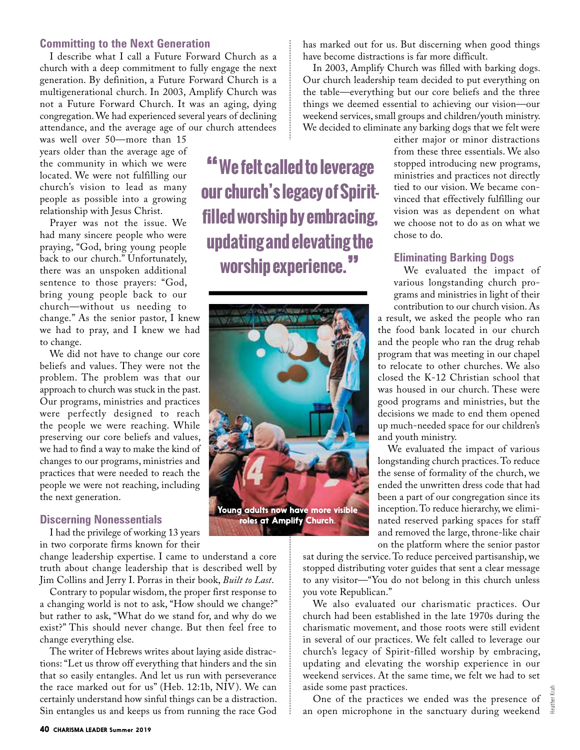#### **Committing to the Next Generation**

I describe what I call a Future Forward Church as a church with a deep commitment to fully engage the next generation. By definition, a Future Forward Church is a multigenerational church. In 2003, Amplify Church was not a Future Forward Church. It was an aging, dying congregation. We had experienced several years of declining attendance, and the average age of our church attendees

was well over 50—more than 15 years older than the average age of the community in which we were located. We were not fulfilling our church's vision to lead as many people as possible into a growing relationship with Jesus Christ.

Prayer was not the issue. We had many sincere people who were praying, "God, bring young people back to our church." Unfortunately, there was an unspoken additional sentence to those prayers: "God, bring young people back to our church—without us needing to change." As the senior pastor, I knew we had to pray, and I knew we had to change.

We did not have to change our core beliefs and values. They were not the problem. The problem was that our approach to church was stuck in the past. Our programs, ministries and practices were perfectly designed to reach the people we were reaching. While preserving our core beliefs and values, we had to find a way to make the kind of changes to our programs, ministries and practices that were needed to reach the people we were not reaching, including the next generation.

#### **Discerning Nonessentials**

I had the privilege of working 13 years in two corporate firms known for their

change leadership expertise. I came to understand a core truth about change leadership that is described well by Jim Collins and Jerry I. Porras in their book, *Built to Last*.

Contrary to popular wisdom, the proper first response to a changing world is not to ask, "How should we change?" but rather to ask, "What do we stand for, and why do we exist?" This should never change. But then feel free to change everything else.

The writer of Hebrews writes about laying aside distractions: "Let us throw off everything that hinders and the sin that so easily entangles. And let us run with perseverance the race marked out for us" (Heb. 12:1b, NIV). We can certainly understand how sinful things can be a distraction. Sin entangles us and keeps us from running the race God

**"We felt called to leverage our church's legacy of Spiritfilled worship by embracing, updating and elevating the worship experience."**



has marked out for us. But discerning when good things have become distractions is far more difficult.

In 2003, Amplify Church was filled with barking dogs. Our church leadership team decided to put everything on the table—everything but our core beliefs and the three things we deemed essential to achieving our vision—our weekend services, small groups and children/youth ministry. We decided to eliminate any barking dogs that we felt were

> either major or minor distractions from these three essentials. We also stopped introducing new programs, ministries and practices not directly tied to our vision. We became convinced that effectively fulfilling our vision was as dependent on what we choose not to do as on what we chose to do.

#### **Eliminating Barking Dogs**

We evaluated the impact of various longstanding church programs and ministries in light of their contribution to our church vision. As

a result, we asked the people who ran the food bank located in our church and the people who ran the drug rehab program that was meeting in our chapel to relocate to other churches. We also closed the K-12 Christian school that was housed in our church. These were good programs and ministries, but the decisions we made to end them opened up much-needed space for our children's and youth ministry.

We evaluated the impact of various longstanding church practices. To reduce the sense of formality of the church, we ended the unwritten dress code that had been a part of our congregation since its inception. To reduce hierarchy, we eliminated reserved parking spaces for staff and removed the large, throne-like chair on the platform where the senior pastor

sat during the service. To reduce perceived partisanship, we stopped distributing voter guides that sent a clear message to any visitor—"You do not belong in this church unless you vote Republican."

We also evaluated our charismatic practices. Our church had been established in the late 1970s during the charismatic movement, and those roots were still evident in several of our practices. We felt called to leverage our church's legacy of Spirit-filled worship by embracing, updating and elevating the worship experience in our weekend services. At the same time, we felt we had to set aside some past practices.

One of the practices we ended was the presence of an open microphone in the sanctuary during weekend